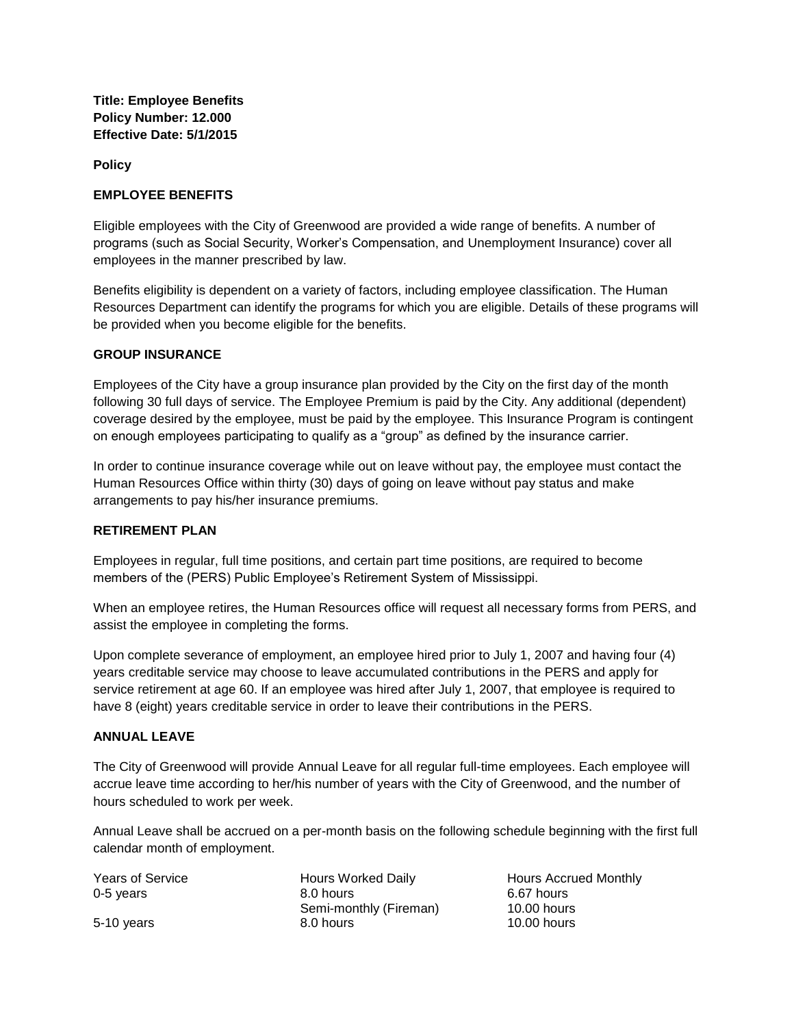**Title: Employee Benefits Policy Number: 12.000 Effective Date: 5/1/2015**

**Policy**

### **EMPLOYEE BENEFITS**

Eligible employees with the City of Greenwood are provided a wide range of benefits. A number of programs (such as Social Security, Worker's Compensation, and Unemployment Insurance) cover all employees in the manner prescribed by law.

Benefits eligibility is dependent on a variety of factors, including employee classification. The Human Resources Department can identify the programs for which you are eligible. Details of these programs will be provided when you become eligible for the benefits.

### **GROUP INSURANCE**

Employees of the City have a group insurance plan provided by the City on the first day of the month following 30 full days of service. The Employee Premium is paid by the City. Any additional (dependent) coverage desired by the employee, must be paid by the employee. This Insurance Program is contingent on enough employees participating to qualify as a "group" as defined by the insurance carrier.

In order to continue insurance coverage while out on leave without pay, the employee must contact the Human Resources Office within thirty (30) days of going on leave without pay status and make arrangements to pay his/her insurance premiums.

#### **RETIREMENT PLAN**

Employees in regular, full time positions, and certain part time positions, are required to become members of the (PERS) Public Employee's Retirement System of Mississippi.

When an employee retires, the Human Resources office will request all necessary forms from PERS, and assist the employee in completing the forms.

Upon complete severance of employment, an employee hired prior to July 1, 2007 and having four (4) years creditable service may choose to leave accumulated contributions in the PERS and apply for service retirement at age 60. If an employee was hired after July 1, 2007, that employee is required to have 8 (eight) years creditable service in order to leave their contributions in the PERS.

#### **ANNUAL LEAVE**

The City of Greenwood will provide Annual Leave for all regular full-time employees. Each employee will accrue leave time according to her/his number of years with the City of Greenwood, and the number of hours scheduled to work per week.

Annual Leave shall be accrued on a per-month basis on the following schedule beginning with the first full calendar month of employment.

| <b>Years of Service</b> | <b>Hours Worked</b> |
|-------------------------|---------------------|
| 0-5 vears               | 8.0 hours           |
|                         | Semi-monthly        |
| 5-10 years              | 8.0 hours           |

d Daily **Hours Accrued Monthly** (Fireman) 6.67 hours 10.00 hours  $10.00$  hours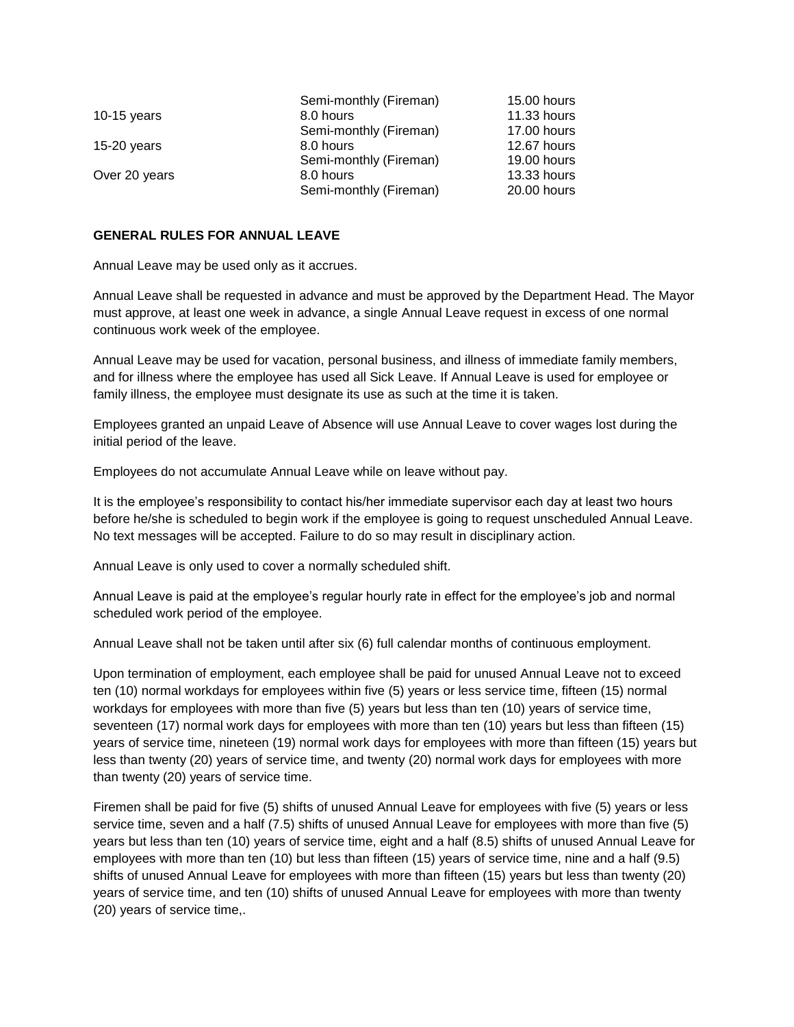|               | Semi-monthly (Fireman) | 15.00 hours        |
|---------------|------------------------|--------------------|
| 10-15 years   | 8.0 hours              | <b>11.33 hours</b> |
|               | Semi-monthly (Fireman) | 17.00 hours        |
| $15-20$ years | 8.0 hours              | 12.67 hours        |
|               | Semi-monthly (Fireman) | 19.00 hours        |
| Over 20 years | 8.0 hours              | 13.33 hours        |
|               | Semi-monthly (Fireman) | 20.00 hours        |

#### **GENERAL RULES FOR ANNUAL LEAVE**

Annual Leave may be used only as it accrues.

Annual Leave shall be requested in advance and must be approved by the Department Head. The Mayor must approve, at least one week in advance, a single Annual Leave request in excess of one normal continuous work week of the employee.

Annual Leave may be used for vacation, personal business, and illness of immediate family members, and for illness where the employee has used all Sick Leave. If Annual Leave is used for employee or family illness, the employee must designate its use as such at the time it is taken.

Employees granted an unpaid Leave of Absence will use Annual Leave to cover wages lost during the initial period of the leave.

Employees do not accumulate Annual Leave while on leave without pay.

It is the employee's responsibility to contact his/her immediate supervisor each day at least two hours before he/she is scheduled to begin work if the employee is going to request unscheduled Annual Leave. No text messages will be accepted. Failure to do so may result in disciplinary action.

Annual Leave is only used to cover a normally scheduled shift.

Annual Leave is paid at the employee's regular hourly rate in effect for the employee's job and normal scheduled work period of the employee.

Annual Leave shall not be taken until after six (6) full calendar months of continuous employment.

Upon termination of employment, each employee shall be paid for unused Annual Leave not to exceed ten (10) normal workdays for employees within five (5) years or less service time, fifteen (15) normal workdays for employees with more than five (5) years but less than ten (10) years of service time, seventeen (17) normal work days for employees with more than ten (10) years but less than fifteen (15) years of service time, nineteen (19) normal work days for employees with more than fifteen (15) years but less than twenty (20) years of service time, and twenty (20) normal work days for employees with more than twenty (20) years of service time.

Firemen shall be paid for five (5) shifts of unused Annual Leave for employees with five (5) years or less service time, seven and a half (7.5) shifts of unused Annual Leave for employees with more than five (5) years but less than ten (10) years of service time, eight and a half (8.5) shifts of unused Annual Leave for employees with more than ten (10) but less than fifteen (15) years of service time, nine and a half (9.5) shifts of unused Annual Leave for employees with more than fifteen (15) years but less than twenty (20) years of service time, and ten (10) shifts of unused Annual Leave for employees with more than twenty (20) years of service time,.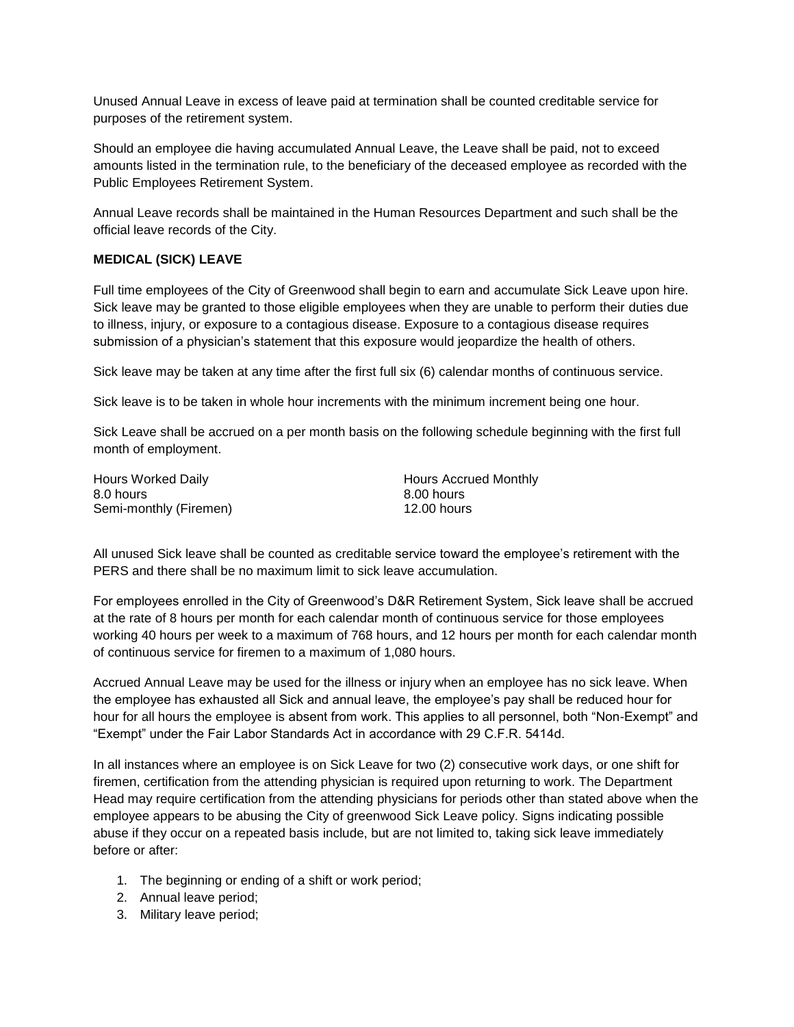Unused Annual Leave in excess of leave paid at termination shall be counted creditable service for purposes of the retirement system.

Should an employee die having accumulated Annual Leave, the Leave shall be paid, not to exceed amounts listed in the termination rule, to the beneficiary of the deceased employee as recorded with the Public Employees Retirement System.

Annual Leave records shall be maintained in the Human Resources Department and such shall be the official leave records of the City.

## **MEDICAL (SICK) LEAVE**

Full time employees of the City of Greenwood shall begin to earn and accumulate Sick Leave upon hire. Sick leave may be granted to those eligible employees when they are unable to perform their duties due to illness, injury, or exposure to a contagious disease. Exposure to a contagious disease requires submission of a physician's statement that this exposure would jeopardize the health of others.

Sick leave may be taken at any time after the first full six (6) calendar months of continuous service.

Sick leave is to be taken in whole hour increments with the minimum increment being one hour.

Sick Leave shall be accrued on a per month basis on the following schedule beginning with the first full month of employment.

| Hours Worked Daily     | <b>Hours Accru</b> |
|------------------------|--------------------|
| 8.0 hours              | 8.00 hours         |
| Semi-monthly (Firemen) | 12.00 hours        |

Hours Accrued Monthly 8.00 hours

All unused Sick leave shall be counted as creditable service toward the employee's retirement with the PERS and there shall be no maximum limit to sick leave accumulation.

For employees enrolled in the City of Greenwood's D&R Retirement System, Sick leave shall be accrued at the rate of 8 hours per month for each calendar month of continuous service for those employees working 40 hours per week to a maximum of 768 hours, and 12 hours per month for each calendar month of continuous service for firemen to a maximum of 1,080 hours.

Accrued Annual Leave may be used for the illness or injury when an employee has no sick leave. When the employee has exhausted all Sick and annual leave, the employee's pay shall be reduced hour for hour for all hours the employee is absent from work. This applies to all personnel, both "Non-Exempt" and "Exempt" under the Fair Labor Standards Act in accordance with 29 C.F.R. 5414d.

In all instances where an employee is on Sick Leave for two (2) consecutive work days, or one shift for firemen, certification from the attending physician is required upon returning to work. The Department Head may require certification from the attending physicians for periods other than stated above when the employee appears to be abusing the City of greenwood Sick Leave policy. Signs indicating possible abuse if they occur on a repeated basis include, but are not limited to, taking sick leave immediately before or after:

- 1. The beginning or ending of a shift or work period;
- 2. Annual leave period;
- 3. Military leave period;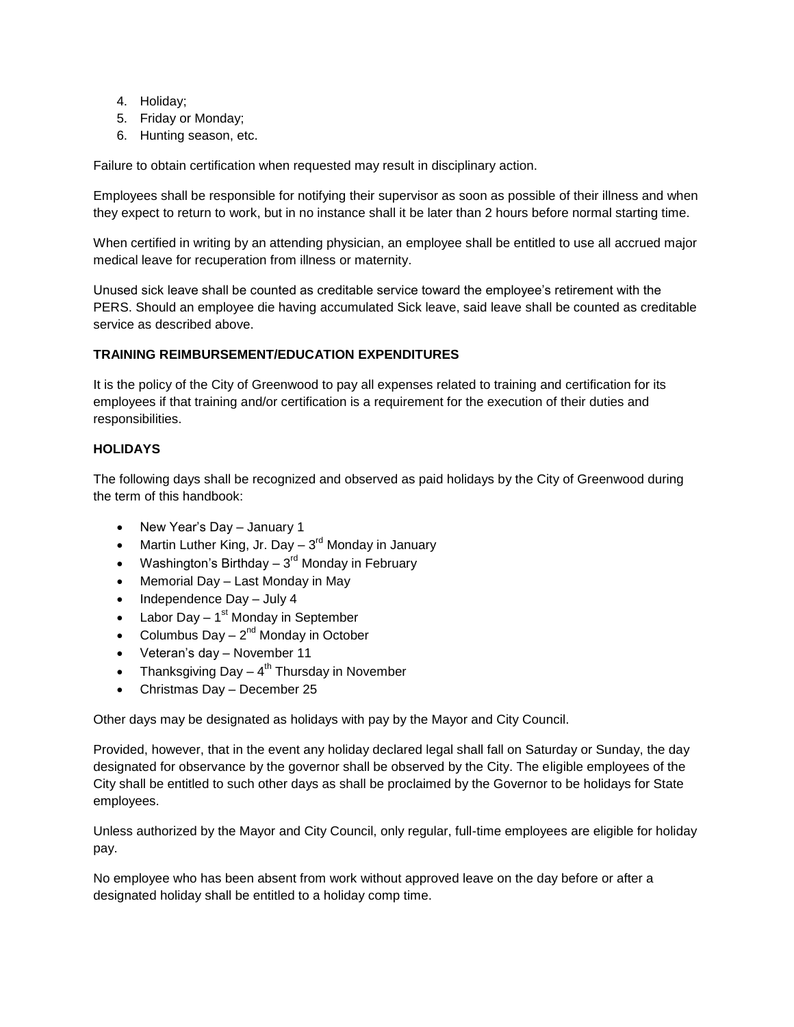- 4. Holiday;
- 5. Friday or Monday;
- 6. Hunting season, etc.

Failure to obtain certification when requested may result in disciplinary action.

Employees shall be responsible for notifying their supervisor as soon as possible of their illness and when they expect to return to work, but in no instance shall it be later than 2 hours before normal starting time.

When certified in writing by an attending physician, an employee shall be entitled to use all accrued major medical leave for recuperation from illness or maternity.

Unused sick leave shall be counted as creditable service toward the employee's retirement with the PERS. Should an employee die having accumulated Sick leave, said leave shall be counted as creditable service as described above.

## **TRAINING REIMBURSEMENT/EDUCATION EXPENDITURES**

It is the policy of the City of Greenwood to pay all expenses related to training and certification for its employees if that training and/or certification is a requirement for the execution of their duties and responsibilities.

## **HOLIDAYS**

The following days shall be recognized and observed as paid holidays by the City of Greenwood during the term of this handbook:

- New Year's Day January 1
- Martin Luther King, Jr. Day  $-3<sup>rd</sup>$  Monday in January
- Washington's Birthday  $3^{\text{rd}}$  Monday in February
- Memorial Day Last Monday in May
- $\bullet$  Independence Day July 4
- Labor Day 1<sup>st</sup> Monday in September
- Columbus Day  $-2^{nd}$  Monday in October
- Veteran's day November 11
- Thanksgiving Day  $-4<sup>th</sup>$  Thursday in November
- Christmas Day December 25

Other days may be designated as holidays with pay by the Mayor and City Council.

Provided, however, that in the event any holiday declared legal shall fall on Saturday or Sunday, the day designated for observance by the governor shall be observed by the City. The eligible employees of the City shall be entitled to such other days as shall be proclaimed by the Governor to be holidays for State employees.

Unless authorized by the Mayor and City Council, only regular, full-time employees are eligible for holiday pay.

No employee who has been absent from work without approved leave on the day before or after a designated holiday shall be entitled to a holiday comp time.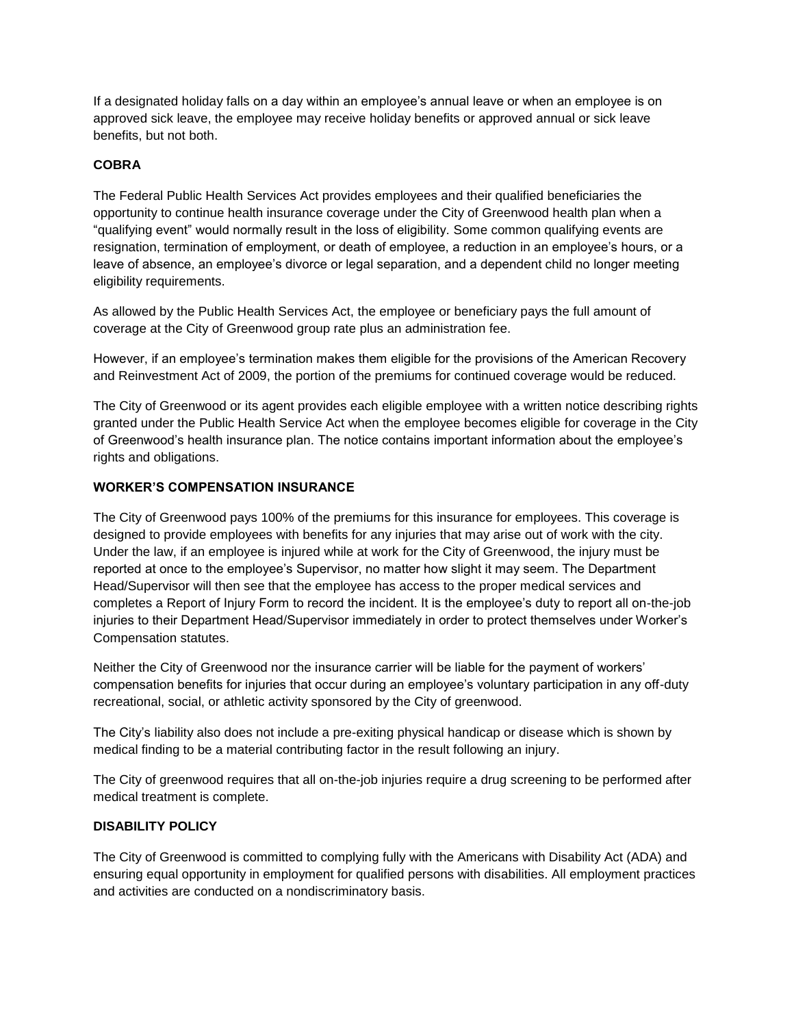If a designated holiday falls on a day within an employee's annual leave or when an employee is on approved sick leave, the employee may receive holiday benefits or approved annual or sick leave benefits, but not both.

# **COBRA**

The Federal Public Health Services Act provides employees and their qualified beneficiaries the opportunity to continue health insurance coverage under the City of Greenwood health plan when a "qualifying event" would normally result in the loss of eligibility. Some common qualifying events are resignation, termination of employment, or death of employee, a reduction in an employee's hours, or a leave of absence, an employee's divorce or legal separation, and a dependent child no longer meeting eligibility requirements.

As allowed by the Public Health Services Act, the employee or beneficiary pays the full amount of coverage at the City of Greenwood group rate plus an administration fee.

However, if an employee's termination makes them eligible for the provisions of the American Recovery and Reinvestment Act of 2009, the portion of the premiums for continued coverage would be reduced.

The City of Greenwood or its agent provides each eligible employee with a written notice describing rights granted under the Public Health Service Act when the employee becomes eligible for coverage in the City of Greenwood's health insurance plan. The notice contains important information about the employee's rights and obligations.

# **WORKER'S COMPENSATION INSURANCE**

The City of Greenwood pays 100% of the premiums for this insurance for employees. This coverage is designed to provide employees with benefits for any injuries that may arise out of work with the city. Under the law, if an employee is injured while at work for the City of Greenwood, the injury must be reported at once to the employee's Supervisor, no matter how slight it may seem. The Department Head/Supervisor will then see that the employee has access to the proper medical services and completes a Report of Injury Form to record the incident. It is the employee's duty to report all on-the-job injuries to their Department Head/Supervisor immediately in order to protect themselves under Worker's Compensation statutes.

Neither the City of Greenwood nor the insurance carrier will be liable for the payment of workers' compensation benefits for injuries that occur during an employee's voluntary participation in any off-duty recreational, social, or athletic activity sponsored by the City of greenwood.

The City's liability also does not include a pre-exiting physical handicap or disease which is shown by medical finding to be a material contributing factor in the result following an injury.

The City of greenwood requires that all on-the-job injuries require a drug screening to be performed after medical treatment is complete.

## **DISABILITY POLICY**

The City of Greenwood is committed to complying fully with the Americans with Disability Act (ADA) and ensuring equal opportunity in employment for qualified persons with disabilities. All employment practices and activities are conducted on a nondiscriminatory basis.